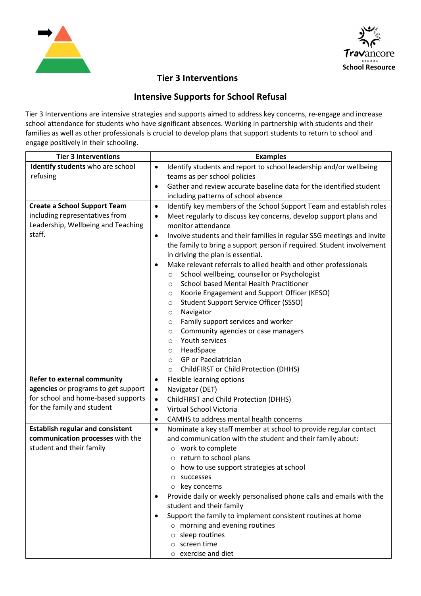



## **Tier 3 Interventions**

## **Intensive Supports for School Refusal**

Tier 3 Interventions are intensive strategies and supports aimed to address key concerns, re-engage and increase school attendance for students who have significant absences. Working in partnership with students and their families as well as other professionals is crucial to develop plans that support students to return to school and engage positively in their schooling.

| <b>Tier 3 Interventions</b>             | <b>Examples</b>                                                                  |
|-----------------------------------------|----------------------------------------------------------------------------------|
| Identify students who are school        | Identify students and report to school leadership and/or wellbeing<br>$\bullet$  |
| refusing                                | teams as per school policies                                                     |
|                                         | Gather and review accurate baseline data for the identified student<br>$\bullet$ |
|                                         | including patterns of school absence                                             |
| <b>Create a School Support Team</b>     | Identify key members of the School Support Team and establish roles<br>$\bullet$ |
| including representatives from          | Meet regularly to discuss key concerns, develop support plans and<br>$\bullet$   |
| Leadership, Wellbeing and Teaching      | monitor attendance                                                               |
| staff.                                  | Involve students and their families in regular SSG meetings and invite<br>٠      |
|                                         | the family to bring a support person if required. Student involvement            |
|                                         | in driving the plan is essential.                                                |
|                                         | Make relevant referrals to allied health and other professionals                 |
|                                         | School wellbeing, counsellor or Psychologist<br>$\circ$                          |
|                                         | School based Mental Health Practitioner<br>$\circ$                               |
|                                         | Koorie Engagement and Support Officer (KESO)<br>$\circ$                          |
|                                         | Student Support Service Officer (SSSO)<br>$\circ$                                |
|                                         | Navigator<br>$\circ$                                                             |
|                                         | Family support services and worker<br>$\circ$                                    |
|                                         | Community agencies or case managers<br>$\circ$<br>Youth services<br>$\circ$      |
|                                         | HeadSpace<br>$\circ$                                                             |
|                                         | GP or Paediatrician<br>$\circ$                                                   |
|                                         | ChildFIRST or Child Protection (DHHS)<br>$\circ$                                 |
| Refer to external community             | Flexible learning options<br>$\bullet$                                           |
| agencies or programs to get support     | Navigator (DET)<br>$\bullet$                                                     |
| for school and home-based supports      | ChildFIRST and Child Protection (DHHS)<br>$\bullet$                              |
| for the family and student              | Virtual School Victoria<br>$\bullet$                                             |
|                                         | CAMHS to address mental health concerns<br>$\bullet$                             |
| <b>Establish regular and consistent</b> | Nominate a key staff member at school to provide regular contact<br>$\bullet$    |
| communication processes with the        | and communication with the student and their family about:                       |
| student and their family                | o work to complete                                                               |
|                                         | o return to school plans                                                         |
|                                         | how to use support strategies at school                                          |
|                                         | successes<br>$\circ$                                                             |
|                                         | key concerns<br>$\circ$                                                          |
|                                         | Provide daily or weekly personalised phone calls and emails with the             |
|                                         | student and their family                                                         |
|                                         | Support the family to implement consistent routines at home                      |
|                                         | $\circ$ morning and evening routines                                             |
|                                         | $\circ$ sleep routines                                                           |
|                                         | $\circ$ screen time                                                              |
|                                         | $\circ$ exercise and diet                                                        |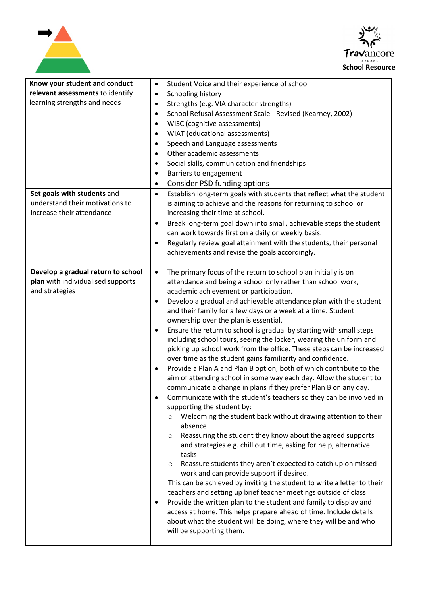



| Know your student and conduct<br>relevant assessments to identify<br>learning strengths and needs<br>Set goals with students and | Student Voice and their experience of school<br>$\bullet$<br>Schooling history<br>٠<br>Strengths (e.g. VIA character strengths)<br>٠<br>School Refusal Assessment Scale - Revised (Kearney, 2002)<br>$\bullet$<br>WISC (cognitive assessments)<br>$\bullet$<br>WIAT (educational assessments)<br>$\bullet$<br>Speech and Language assessments<br>$\bullet$<br>Other academic assessments<br>Social skills, communication and friendships<br>$\bullet$<br>Barriers to engagement<br>$\bullet$<br><b>Consider PSD funding options</b><br>٠<br>Establish long-term goals with students that reflect what the student<br>$\bullet$                                                                                                                                                                                                                                                                                                                                                                                                                                                                                                                                                                                                                                                                                                                                                                                                                                                                                                                                                                                                                                                                                                                                                 |
|----------------------------------------------------------------------------------------------------------------------------------|--------------------------------------------------------------------------------------------------------------------------------------------------------------------------------------------------------------------------------------------------------------------------------------------------------------------------------------------------------------------------------------------------------------------------------------------------------------------------------------------------------------------------------------------------------------------------------------------------------------------------------------------------------------------------------------------------------------------------------------------------------------------------------------------------------------------------------------------------------------------------------------------------------------------------------------------------------------------------------------------------------------------------------------------------------------------------------------------------------------------------------------------------------------------------------------------------------------------------------------------------------------------------------------------------------------------------------------------------------------------------------------------------------------------------------------------------------------------------------------------------------------------------------------------------------------------------------------------------------------------------------------------------------------------------------------------------------------------------------------------------------------------------------|
| understand their motivations to<br>increase their attendance                                                                     | is aiming to achieve and the reasons for returning to school or<br>increasing their time at school.<br>Break long-term goal down into small, achievable steps the student<br>$\bullet$<br>can work towards first on a daily or weekly basis.<br>Regularly review goal attainment with the students, their personal<br>$\bullet$<br>achievements and revise the goals accordingly.                                                                                                                                                                                                                                                                                                                                                                                                                                                                                                                                                                                                                                                                                                                                                                                                                                                                                                                                                                                                                                                                                                                                                                                                                                                                                                                                                                                              |
| Develop a gradual return to school<br>plan with individualised supports<br>and strategies                                        | The primary focus of the return to school plan initially is on<br>$\bullet$<br>attendance and being a school only rather than school work,<br>academic achievement or participation.<br>Develop a gradual and achievable attendance plan with the student<br>$\bullet$<br>and their family for a few days or a week at a time. Student<br>ownership over the plan is essential.<br>Ensure the return to school is gradual by starting with small steps<br>$\bullet$<br>including school tours, seeing the locker, wearing the uniform and<br>picking up school work from the office. These steps can be increased<br>over time as the student gains familiarity and confidence.<br>Provide a Plan A and Plan B option, both of which contribute to the<br>$\bullet$<br>aim of attending school in some way each day. Allow the student to<br>communicate a change in plans if they prefer Plan B on any day.<br>Communicate with the student's teachers so they can be involved in<br>supporting the student by:<br>Welcoming the student back without drawing attention to their<br>absence<br>Reassuring the student they know about the agreed supports<br>$\circ$<br>and strategies e.g. chill out time, asking for help, alternative<br>tasks<br>Reassure students they aren't expected to catch up on missed<br>$\circ$<br>work and can provide support if desired.<br>This can be achieved by inviting the student to write a letter to their<br>teachers and setting up brief teacher meetings outside of class<br>Provide the written plan to the student and family to display and<br>$\bullet$<br>access at home. This helps prepare ahead of time. Include details<br>about what the student will be doing, where they will be and who<br>will be supporting them. |